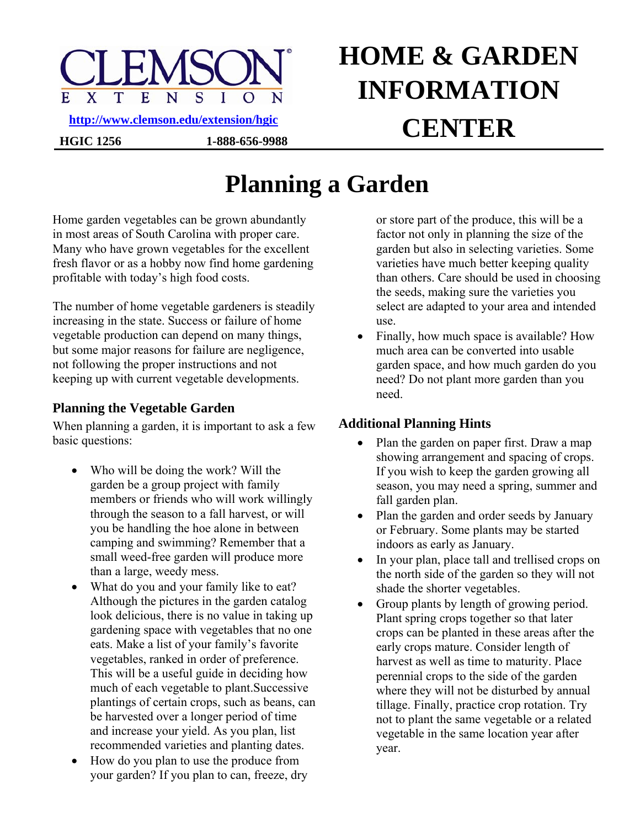

# **HOME & GARDEN INFORMATION CENTER <http://www.clemson.edu/extension/hgic>**

## **Planning a Garden**

Home garden vegetables can be grown abundantly in most areas of South Carolina with proper care. Many who have grown vegetables for the excellent fresh flavor or as a hobby now find home gardening profitable with today's high food costs.

**HGIC 1256 1-888-656-9988** 

The number of home vegetable gardeners is steadily increasing in the state. Success or failure of home vegetable production can depend on many things, but some major reasons for failure are negligence, not following the proper instructions and not keeping up with current vegetable developments.

#### **Planning the Vegetable Garden**

When planning a garden, it is important to ask a few basic questions:

- Who will be doing the work? Will the garden be a group project with family members or friends who will work willingly through the season to a fall harvest, or will you be handling the hoe alone in between camping and swimming? Remember that a small weed-free garden will produce more than a large, weedy mess.
- What do you and your family like to eat? Although the pictures in the garden catalog look delicious, there is no value in taking up gardening space with vegetables that no one eats. Make a list of your family's favorite vegetables, ranked in order of preference. This will be a useful guide in deciding how much of each vegetable to plant.Successive plantings of certain crops, such as beans, can be harvested over a longer period of time and increase your yield. As you plan, list recommended varieties and planting dates.
- How do you plan to use the produce from your garden? If you plan to can, freeze, dry

or store part of the produce, this will be a factor not only in planning the size of the garden but also in selecting varieties. Some varieties have much better keeping quality than others. Care should be used in choosing the seeds, making sure the varieties you select are adapted to your area and intended use.

• Finally, how much space is available? How much area can be converted into usable garden space, and how much garden do you need? Do not plant more garden than you need.

### **Additional Planning Hints**

- Plan the garden on paper first. Draw a map showing arrangement and spacing of crops. If you wish to keep the garden growing all season, you may need a spring, summer and fall garden plan.
- Plan the garden and order seeds by January or February. Some plants may be started indoors as early as January.
- In your plan, place tall and trellised crops on the north side of the garden so they will not shade the shorter vegetables.
- Group plants by length of growing period. Plant spring crops together so that later crops can be planted in these areas after the early crops mature. Consider length of harvest as well as time to maturity. Place perennial crops to the side of the garden where they will not be disturbed by annual tillage. Finally, practice crop rotation. Try not to plant the same vegetable or a related vegetable in the same location year after year.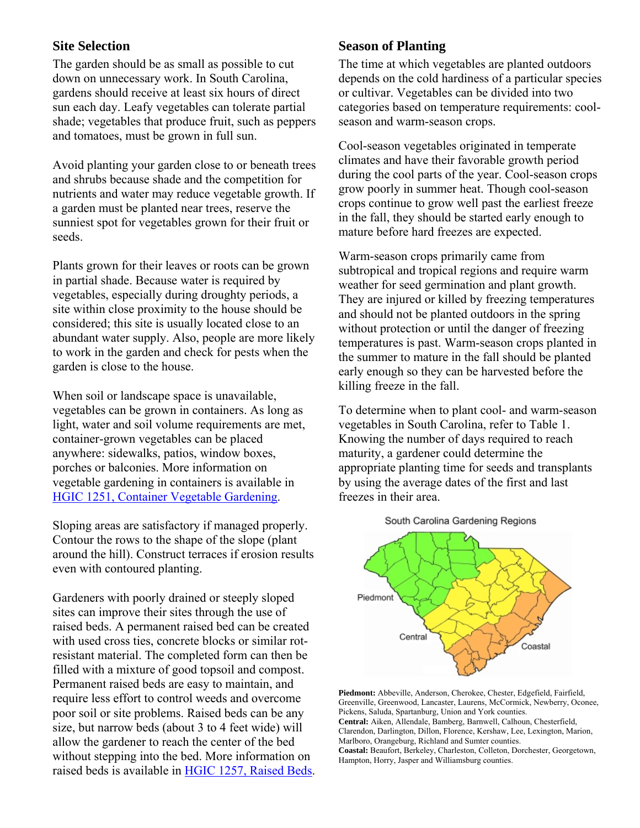#### **Site Selection**

The garden should be as small as possible to cut down on unnecessary work. In South Carolina, gardens should receive at least six hours of direct sun each day. Leafy vegetables can tolerate partial shade; vegetables that produce fruit, such as peppers and tomatoes, must be grown in full sun.

Avoid planting your garden close to or beneath trees and shrubs because shade and the competition for nutrients and water may reduce vegetable growth. If a garden must be planted near trees, reserve the sunniest spot for vegetables grown for their fruit or seeds.

Plants grown for their leaves or roots can be grown in partial shade. Because water is required by vegetables, especially during droughty periods, a site within close proximity to the house should be considered; this site is usually located close to an abundant water supply. Also, people are more likely to work in the garden and check for pests when the garden is close to the house.

When soil or landscape space is unavailable, vegetables can be grown in containers. As long as light, water and soil volume requirements are met, container-grown vegetables can be placed anywhere: sidewalks, patios, window boxes, porches or balconies. More information on vegetable gardening in containers is available in [HGIC 1251, Container Vegetable Gardening](http://www.clemson.edu/extension/hgic/plants/pdf/hgic1251.pdf).

Sloping areas are satisfactory if managed properly. Contour the rows to the shape of the slope (plant around the hill). Construct terraces if erosion results even with contoured planting.

Gardeners with poorly drained or steeply sloped sites can improve their sites through the use of raised beds. A permanent raised bed can be created with used cross ties, concrete blocks or similar rotresistant material. The completed form can then be filled with a mixture of good topsoil and compost. Permanent raised beds are easy to maintain, and require less effort to control weeds and overcome poor soil or site problems. Raised beds can be any size, but narrow beds (about 3 to 4 feet wide) will allow the gardener to reach the center of the bed without stepping into the bed. More information on raised beds is available in [HGIC 1257, Raised Beds.](http://www.clemson.edu/extension/hgic/plants/pdf/hgic1257.pdf)

#### **Season of Planting**

The time at which vegetables are planted outdoors depends on the cold hardiness of a particular species or cultivar. Vegetables can be divided into two categories based on temperature requirements: coolseason and warm-season crops.

Cool-season vegetables originated in temperate climates and have their favorable growth period during the cool parts of the year. Cool-season crops grow poorly in summer heat. Though cool-season crops continue to grow well past the earliest freeze in the fall, they should be started early enough to mature before hard freezes are expected.

Warm-season crops primarily came from subtropical and tropical regions and require warm weather for seed germination and plant growth. They are injured or killed by freezing temperatures and should not be planted outdoors in the spring without protection or until the danger of freezing temperatures is past. Warm-season crops planted in the summer to mature in the fall should be planted early enough so they can be harvested before the killing freeze in the fall.

To determine when to plant cool- and warm-season vegetables in South Carolina, refer to Table 1. Knowing the number of days required to reach maturity, a gardener could determine the appropriate planting time for seeds and transplants by using the average dates of the first and last freezes in their area.



**Piedmont:** Abbeville, Anderson, Cherokee, Chester, Edgefield, Fairfield, Greenville, Greenwood, Lancaster, Laurens, McCormick, Newberry, Oconee, Pickens, Saluda, Spartanburg, Union and York counties. **Central:** Aiken, Allendale, Bamberg, Barnwell, Calhoun, Chesterfield, Clarendon, Darlington, Dillon, Florence, Kershaw, Lee, Lexington, Marion, Marlboro, Orangeburg, Richland and Sumter counties.

**Coastal:** Beaufort, Berkeley, Charleston, Colleton, Dorchester, Georgetown, Hampton, Horry, Jasper and Williamsburg counties.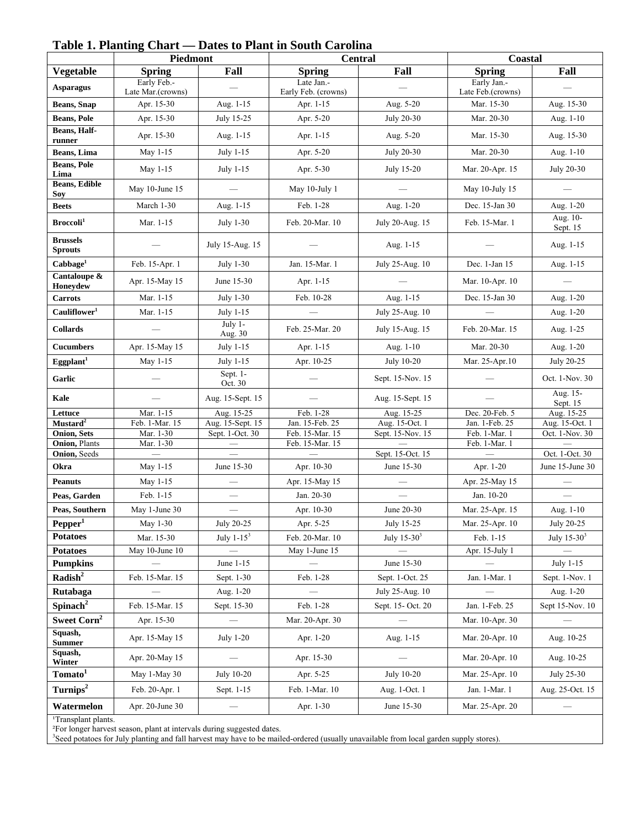|                                            | Piedmont                         |                                     | Central                            |                                    | Coastal                          |                                  |
|--------------------------------------------|----------------------------------|-------------------------------------|------------------------------------|------------------------------------|----------------------------------|----------------------------------|
| <b>Vegetable</b>                           | <b>Spring</b>                    | Fall                                | <b>Spring</b>                      | Fall                               | <b>Spring</b>                    | Fall                             |
| <b>Asparagus</b>                           | Early Feb.-<br>Late Mar.(crowns) |                                     | Late Jan.-<br>Early Feb. (crowns)  |                                    | Early Jan.-<br>Late Feb.(crowns) |                                  |
| <b>Beans</b> , Snap                        | Apr. 15-30                       | Aug. 1-15                           | Apr. 1-15                          | Aug. 5-20                          | Mar. 15-30                       | Aug. 15-30                       |
| <b>Beans, Pole</b>                         | Apr. 15-30                       | July 15-25                          | Apr. 5-20                          | July 20-30                         | Mar. 20-30                       | Aug. 1-10                        |
| Beans, Half-<br>runner                     | Apr. 15-30                       | Aug. 1-15                           | Apr. 1-15                          | Aug. 5-20                          | Mar. 15-30                       | Aug. 15-30                       |
| Beans, Lima                                | May 1-15                         | July 1-15                           | Apr. 5-20                          | July 20-30                         | Mar. 20-30                       | Aug. 1-10                        |
| <b>Beans, Pole</b><br>Lima                 | May 1-15                         | July 1-15                           | Apr. 5-30                          | July 15-20                         | Mar. 20-Apr. 15                  | July 20-30                       |
| <b>Beans, Edible</b><br>Soy                | May 10-June 15                   | $\frac{1}{1}$                       | May 10-July 1                      |                                    | May 10-July 15                   |                                  |
| <b>Beets</b>                               | March 1-30                       | Aug. 1-15                           | Feb. 1-28                          | Aug. 1-20                          | Dec. 15-Jan 30                   | Aug. 1-20                        |
| Broccoli <sup>1</sup>                      | Mar. 1-15                        | July 1-30                           | Feb. 20-Mar. 10                    | July 20-Aug. 15                    | Feb. 15-Mar. 1                   | Aug. 10-<br>Sept. 15             |
| <b>Brussels</b><br><b>Sprouts</b>          |                                  | July 15-Aug. 15                     |                                    | Aug. 1-15                          |                                  | Aug. 1-15                        |
| Cabbage <sup>1</sup>                       | Feb. 15-Apr. 1                   | July 1-30                           | Jan. 15-Mar. 1                     | July 25-Aug. 10                    | Dec. 1-Jan 15                    | Aug. 1-15                        |
| Cantaloupe &<br>Honeydew                   | Apr. 15-May 15                   | June 15-30                          | Apr. 1-15                          |                                    | Mar. 10-Apr. 10                  |                                  |
| <b>Carrots</b>                             | Mar. 1-15                        | July 1-30                           | Feb. 10-28                         | Aug. 1-15                          | Dec. 15-Jan 30                   | Aug. 1-20                        |
| Cauliflower <sup>1</sup>                   | Mar. 1-15                        | July 1-15                           |                                    | July 25-Aug. 10                    |                                  | Aug. 1-20                        |
| <b>Collards</b>                            |                                  | July 1-<br>Aug. 30                  | Feb. 25-Mar. 20                    | July 15-Aug. 15                    | Feb. 20-Mar. 15                  | Aug. 1-25                        |
| <b>Cucumbers</b>                           | Apr. 15-May 15                   | July 1-15                           | Apr. 1-15                          | Aug. 1-10                          | Mar. 20-30                       | Aug. 1-20                        |
| Eggplant <sup>1</sup>                      | May 1-15                         | July 1-15                           | Apr. 10-25                         | July 10-20                         | Mar. 25-Apr.10                   | July 20-25                       |
| Garlic                                     |                                  | Sept. 1-<br>Oct. 30                 |                                    | Sept. 15-Nov. 15                   |                                  | Oct. 1-Nov. 30                   |
| Kale                                       |                                  | Aug. 15-Sept. 15                    |                                    | Aug. 15-Sept. 15                   |                                  | Aug. 15-<br>Sept. 15             |
| Lettuce                                    | Mar. 1-15                        | Aug. 15-25                          | Feb. 1-28                          | Aug. 15-25                         | Dec. 20-Feb. 5                   | Aug. 15-25                       |
| Mustard <sup>2</sup><br><b>Onion, Sets</b> | Feb. 1-Mar. 15<br>Mar. 1-30      | Aug. 15-Sept. 15<br>Sept. 1-Oct. 30 | Jan. 15-Feb. 25<br>Feb. 15-Mar. 15 | Aug. 15-Oct. 1<br>Sept. 15-Nov. 15 | Jan. 1-Feb. 25<br>Feb. 1-Mar. 1  | Aug. 15-Oct. 1<br>Oct. 1-Nov. 30 |
| Onion, Plants                              | Mar. 1-30                        |                                     | Feb. 15-Mar. 15                    |                                    | Feb. 1-Mar. 1                    |                                  |
| Onion, Seeds                               | $\qquad \qquad -$                | $\overline{\phantom{0}}$            |                                    | Sept. 15-Oct. 15                   |                                  | Oct. 1-Oct. 30                   |
| Okra                                       | May 1-15                         | June 15-30                          | Apr. 10-30                         | June 15-30                         | Apr. 1-20                        | June 15-June 30                  |
| <b>Peanuts</b>                             | May 1-15                         |                                     | Apr. 15-May 15                     |                                    | Apr. 25-May 15                   |                                  |
| Peas, Garden                               | Feb. 1-15                        | $\qquad \qquad$                     | Jan. 20-30                         |                                    | Jan. 10-20                       |                                  |
| Peas, Southern                             | May 1-June 30                    |                                     | Apr. 10-30                         | June 20-30                         | Mar. 25-Apr. 15                  | Aug. 1-10                        |
| Pepper <sup>1</sup>                        | May 1-30                         | July 20-25                          | Apr. 5-25                          | July 15-25                         | Mar. 25-Apr. 10                  | July 20-25                       |
| <b>Potatoes</b>                            | Mar. 15-30                       | July $1-15^3$                       | Feb. 20-Mar. 10                    | July $15-303$                      | Feb. 1-15                        | July 15-30 <sup>3</sup>          |
| <b>Potatoes</b>                            | May 10-June 10                   |                                     | May 1-June 15                      |                                    | Apr. 15-July 1                   |                                  |
| <b>Pumpkins</b>                            |                                  | June 1-15                           |                                    | June 15-30                         |                                  | July 1-15                        |
| Radish <sup>2</sup>                        | Feb. 15-Mar. 15                  | Sept. 1-30                          | Feb. 1-28                          | Sept. 1-Oct. 25                    | Jan. 1-Mar. 1                    | Sept. 1-Nov. 1                   |
| Rutabaga                                   |                                  | Aug. 1-20                           |                                    | July 25-Aug. 10                    |                                  | Aug. 1-20                        |
| Spinach <sup>2</sup>                       | Feb. 15-Mar. 15                  | Sept. 15-30                         | Feb. 1-28                          | Sept. 15- Oct. 20                  | Jan. 1-Feb. 25                   | Sept 15-Nov. 10                  |
| Sweet Corn <sup>2</sup>                    | Apr. 15-30                       |                                     | Mar. 20-Apr. 30                    |                                    | Mar. 10-Apr. 30                  |                                  |
| Squash,<br><b>Summer</b>                   | Apr. 15-May 15                   | July 1-20                           | Apr. 1-20                          | Aug. 1-15                          | Mar. 20-Apr. 10                  | Aug. 10-25                       |
| Squash,<br>Winter                          | Apr. 20-May 15                   |                                     | Apr. 15-30                         |                                    | Mar. 20-Apr. 10                  | Aug. 10-25                       |
| Tomato <sup>1</sup>                        | May 1-May 30                     | July 10-20                          | Apr. 5-25                          | July 10-20                         | Mar. 25-Apr. 10                  | July 25-30                       |
| Turnips <sup>2</sup>                       | Feb. 20-Apr. 1                   | Sept. 1-15                          | Feb. 1-Mar. 10                     | Aug. 1-Oct. 1                      | Jan. 1-Mar. 1                    | Aug. 25-Oct. 15                  |
| Watermelon                                 | Apr. 20-June 30                  |                                     | Apr. 1-30                          | June 15-30                         | Mar. 25-Apr. 20                  |                                  |

#### **Table 1. Planting Chart — Dates to Plant in South Carolina**

<sup>1</sup>Transplant plants.

<sup>2</sup>For longer harvest season, plant at intervals during suggested dates.<br><sup>3</sup>Seed potatoes for July planting and fall harvest may have to be mailed-ordered (usually unavailable from local garden supply stores).